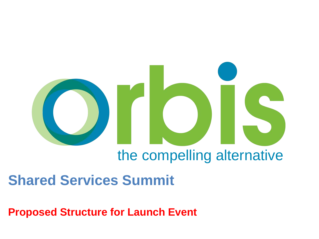

# the compelling alternative

## **Shared Services Summit**

**Proposed Structure for Launch Event**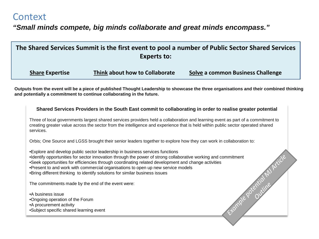### **Context**

### *"Small minds compete, big minds collaborate and great minds encompass."*

| The Shared Services Summit is the first event to pool a number of Public Sector Shared Services<br><b>Experts to:</b> |                                |                                   |
|-----------------------------------------------------------------------------------------------------------------------|--------------------------------|-----------------------------------|
| <b>Share Expertise</b>                                                                                                | Think about how to Collaborate | Solve a common Business Challenge |

**Outputs from the event will be a piece of published Thought Leadership to showcase the three organisations and their combined thinking and potentially a commitment to continue collaborating in the future.** 

#### **Shared Services Providers in the South East commit to collaborating in order to realise greater potential**

Three of local governments largest shared services providers held a collaboration and learning event as part of a commitment to creating greater value across the sector from the intelligence and experience that is held within public sector operated shared services.

Orbis; One Source and LGSS brought their senior leaders together to explore how they can work in collaboration to:

•Explore and develop public sector leadership in business services functions •Identify opportunities for sector innovation through the power of strong collaborative working and commitment •Seek opportunities for efficiencies through coordinating related development and change activities •Present to and work with commercial organisations to open up new service models •Bring different thinking to identify solutions for similar business issues

The commitments made by the end of the event were:

•A business issue •Ongoing operation of the Forum •A procurement activity •Subject specific shared learning event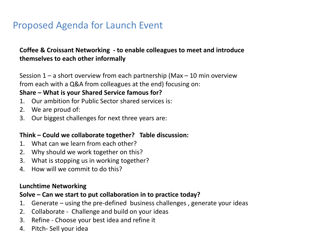## Proposed Agenda for Launch Event

#### **Coffee & Croissant Networking - to enable colleagues to meet and introduce themselves to each other informally**

Session  $1 - a$  short overview from each partnership (Max  $-10$  min overview from each with a Q&A from colleagues at the end) focusing on:

#### **Share – What is your Shared Service famous for?**

- 1. Our ambition for Public Sector shared services is:
- 2. We are proud of:
- 3. Our biggest challenges for next three years are:

#### **Think – Could we collaborate together? Table discussion:**

- 1. What can we learn from each other?
- 2. Why should we work together on this?
- 3. What is stopping us in working together?
- 4. How will we commit to do this?

#### **Lunchtime Networking**

#### **Solve – Can we start to put collaboration in to practice today?**

- 1. Generate using the pre-defined business challenges , generate your ideas
- 2. Collaborate Challenge and build on your ideas
- 3. Refine Choose your best idea and refine it
- 4. Pitch- Sell your idea